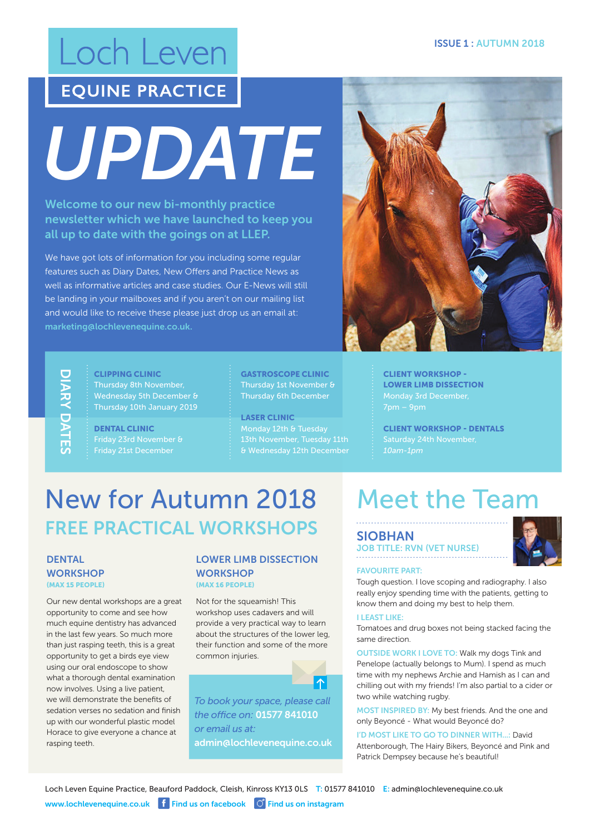## Loch Leven

### **EQUINE PRACTICE**

*UPDATE*

Welcome to our new bi-monthly practice newsletter which we have launched to keep you all up to date with the goings on at LLEP.

We have got lots of information for you including some regular features such as Diary Dates, New Offers and Practice News as well as informative articles and case studies. Our E-News will still be landing in your mailboxes and if you aren't on our mailing list and would like to receive these please just drop us an email at: marketing@lochlevenequine.co.uk.

# DIARY DATES

CLIPPING CLINIC Thursday 8th November, Wednesday 5th December & Thursday 10th January 2019

DENTAL CLINIC

GASTROSCOPE CLINIC Thursday 1st November & Thursday 6th December

LASER CLINIC



CLIENT WORKSHOP - LOWER LIMB DISSECTION

CLIENT WORKSHOP - DENTALS

## New for Autumn 2018 FREE PRACTICAL WORKSHOPS

#### **DENTAL WORKSHOP** (MAX 15 PEOPLE)

Our new dental workshops are a great opportunity to come and see how much equine dentistry has advanced in the last few years. So much more than just rasping teeth, this is a great opportunity to get a birds eye view using our oral endoscope to show what a thorough dental examination now involves. Using a live patient, we will demonstrate the benefits of sedation verses no sedation and finish up with our wonderful plastic model Horace to give everyone a chance at rasping teeth.

#### LOWER LIMB DISSECTION **WORKSHOP** (MAX 16 PEOPLE)

Not for the squeamish! This workshop uses cadavers and will provide a very practical way to learn about the structures of the lower leg, their function and some of the more common injuries.

*To book your space, please call the office on:* 01577 841010 *or email us at:* admin@lochlevenequine.co.uk

 $|\bm{\wedge}|$ 

## Meet the Team

#### SIOBHAN

JOB TITLE: RVN (VET NURSE)



#### FAVOURITE PART:

Tough question. I love scoping and radiography. I also really enjoy spending time with the patients, getting to know them and doing my best to help them.

#### I LEAST LIKE:

Tomatoes and drug boxes not being stacked facing the same direction.

OUTSIDE WORK I LOVE TO: Walk my dogs Tink and Penelope (actually belongs to Mum). I spend as much time with my nephews Archie and Hamish as I can and chilling out with my friends! I'm also partial to a cider or two while watching rugby.

MOST INSPIRED BY: My best friends. And the one and only Beyoncé - What would Beyoncé do?

I'D MOST LIKE TO GO TO DINNER WITH...: David Attenborough, The Hairy Bikers, Beyoncé and Pink and Patrick Dempsey because he's beautiful!